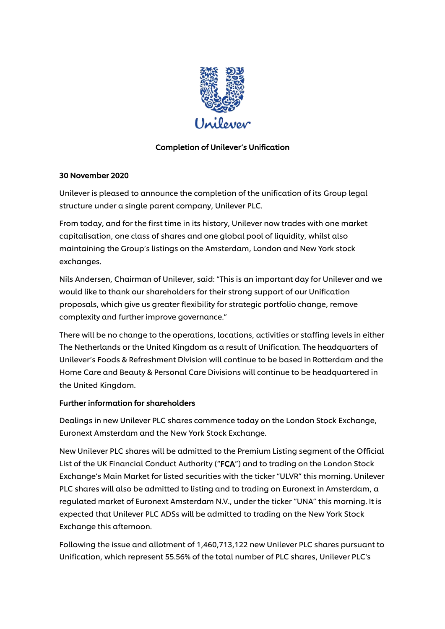

# Completion of Unilever's Unification

## 30 November 2020

Unilever is pleased to announce the completion of the unification of its Group legal structure under a single parent company, Unilever PLC.

From today, and for the first time in its history, Unilever now trades with one market capitalisation, one class of shares and one global pool of liquidity, whilst also maintaining the Group's listings on the Amsterdam, London and New York stock exchanges.

Nils Andersen, Chairman of Unilever, said: "This is an important day for Unilever and we would like to thank our shareholders for their strong support of our Unification proposals, which give us greater flexibility for strategic portfolio change, remove complexity and further improve governance."

There will be no change to the operations, locations, activities or staffing levels in either The Netherlands or the United Kingdom as a result of Unification. The headquarters of Unilever's Foods & Refreshment Division will continue to be based in Rotterdam and the Home Care and Beauty & Personal Care Divisions will continue to be headquartered in the United Kingdom.

# Further information for shareholders

Dealings in new Unilever PLC shares commence today on the London Stock Exchange, Euronext Amsterdam and the New York Stock Exchange.

New Unilever PLC shares will be admitted to the Premium Listing segment of the Official List of the UK Financial Conduct Authority ("FCA") and to trading on the London Stock Exchange's Main Market for listed securities with the ticker "ULVR" this morning. Unilever PLC shares will also be admitted to listing and to trading on Euronext in Amsterdam, a regulated market of Euronext Amsterdam N.V., under the ticker "UNA" this morning. It is expected that Unilever PLC ADSs will be admitted to trading on the New York Stock Exchange this afternoon.

Following the issue and allotment of 1,460,713,122 new Unilever PLC shares pursuant to Unification, which represent 55.56% of the total number of PLC shares, Unilever PLC's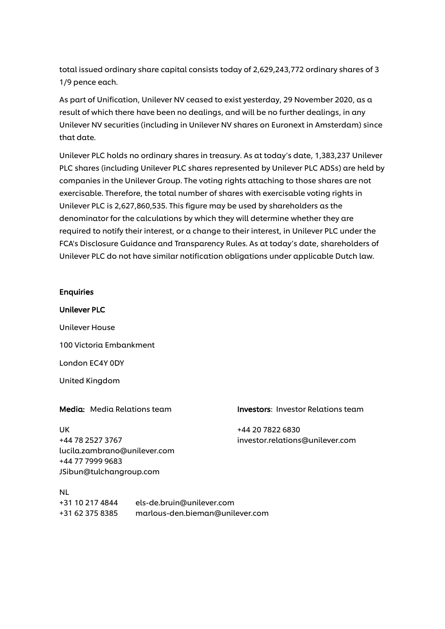total issued ordinary share capital consists today of 2,629,243,772 ordinary shares of 3 1/9 pence each.

As part of Unification, Unilever NV ceased to exist yesterday, 29 November 2020, as a result of which there have been no dealings, and will be no further dealings, in any Unilever NV securities (including in Unilever NV shares on Euronext in Amsterdam) since that date.

Unilever PLC holds no ordinary shares in treasury. As at today's date, 1,383,237 Unilever PLC shares (including Unilever PLC shares represented by Unilever PLC ADSs) are held by companies in the Unilever Group. The voting rights attaching to those shares are not exercisable. Therefore, the total number of shares with exercisable voting rights in Unilever PLC is 2,627,860,535. This figure may be used by shareholders as the denominator for the calculations by which they will determine whether they are required to notify their interest, or a change to their interest, in Unilever PLC under the FCA's Disclosure Guidance and Transparency Rules. As at today's date, shareholders of Unilever PLC do not have similar notification obligations under applicable Dutch law.

## Enquiries

Unilever PLC Unilever House 100 Victoria Embankment London EC4Y 0DY United Kingdom

UK +44 20 7822 6830 [lucila.zambrano@unilever.com](mailto:lucila.zambrano@unilever.com) +44 77 7999 9683 [JSibun@tulchangroup.com](mailto:JSibun@tulchangroup.com)

Media: Media Relations team Investors: Investor Relations team

+44 78 2527 3767 investor.relations@unilever.com

NL +31 10 217 4844 [els-de.bruin@unilever.com](mailto:els-de.bruin@unilever.com) +31 62 375 8385 [marlous-den.bieman@unilever.com](mailto:marlous-den.bieman@unilever.com)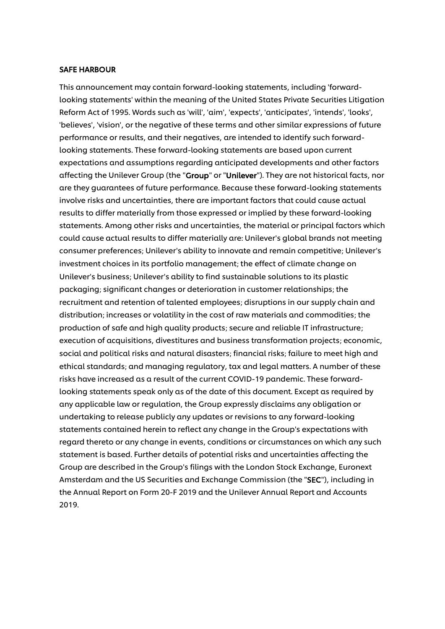### SAFE HARBOUR

This announcement may contain forward-looking statements, including 'forwardlooking statements' within the meaning of the United States Private Securities Litigation Reform Act of 1995. Words such as 'will', 'aim', 'expects', 'anticipates', 'intends', 'looks', 'believes', 'vision', or the negative of these terms and other similar expressions of future performance or results, and their negatives, are intended to identify such forwardlooking statements. These forward-looking statements are based upon current expectations and assumptions regarding anticipated developments and other factors affecting the Unilever Group (the "Group" or "Unilever"). They are not historical facts, nor are they guarantees of future performance. Because these forward-looking statements involve risks and uncertainties, there are important factors that could cause actual results to differ materially from those expressed or implied by these forward-looking statements. Among other risks and uncertainties, the material or principal factors which could cause actual results to differ materially are: Unilever's global brands not meeting consumer preferences; Unilever's ability to innovate and remain competitive; Unilever's investment choices in its portfolio management; the effect of climate change on Unilever's business; Unilever's ability to find sustainable solutions to its plastic packaging; significant changes or deterioration in customer relationships; the recruitment and retention of talented employees; disruptions in our supply chain and distribution; increases or volatility in the cost of raw materials and commodities; the production of safe and high quality products; secure and reliable IT infrastructure; execution of acquisitions, divestitures and business transformation projects; economic, social and political risks and natural disasters; financial risks; failure to meet high and ethical standards; and managing regulatory, tax and legal matters. A number of these risks have increased as a result of the current COVID-19 pandemic. These forwardlooking statements speak only as of the date of this document. Except as required by any applicable law or regulation, the Group expressly disclaims any obligation or undertaking to release publicly any updates or revisions to any forward-looking statements contained herein to reflect any change in the Group's expectations with regard thereto or any change in events, conditions or circumstances on which any such statement is based. Further details of potential risks and uncertainties affecting the Group are described in the Group's filings with the London Stock Exchange, Euronext Amsterdam and the US Securities and Exchange Commission (the "SEC"), including in the Annual Report on Form 20-F 2019 and the Unilever Annual Report and Accounts 2019.